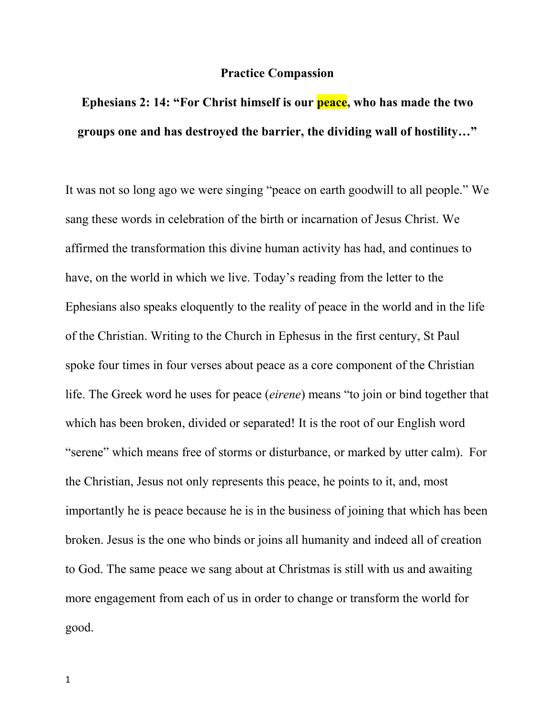## **Practice Compassion**

## **Ephesians 2: 14: "For Christ himself is our peace, who has made the two groups one and has destroyed the barrier, the dividing wall of hostility…"**

It was not so long ago we were singing "peace on earth goodwill to all people." We sang these words in celebration of the birth or incarnation of Jesus Christ. We affirmed the transformation this divine human activity has had, and continues to have, on the world in which we live. Today's reading from the letter to the Ephesians also speaks eloquently to the reality of peace in the world and in the life of the Christian. Writing to the Church in Ephesus in the first century, St Paul spoke four times in four verses about peace as a core component of the Christian life. The Greek word he uses for peace (*eirene*) means "to join or bind together that which has been broken, divided or separated! It is the root of our English word "serene" which means free of storms or disturbance, or marked by utter calm). For the Christian, Jesus not only represents this peace, he points to it, and, most importantly he is peace because he is in the business of joining that which has been broken. Jesus is the one who binds or joins all humanity and indeed all of creation to God. The same peace we sang about at Christmas is still with us and awaiting more engagement from each of us in order to change or transform the world for good.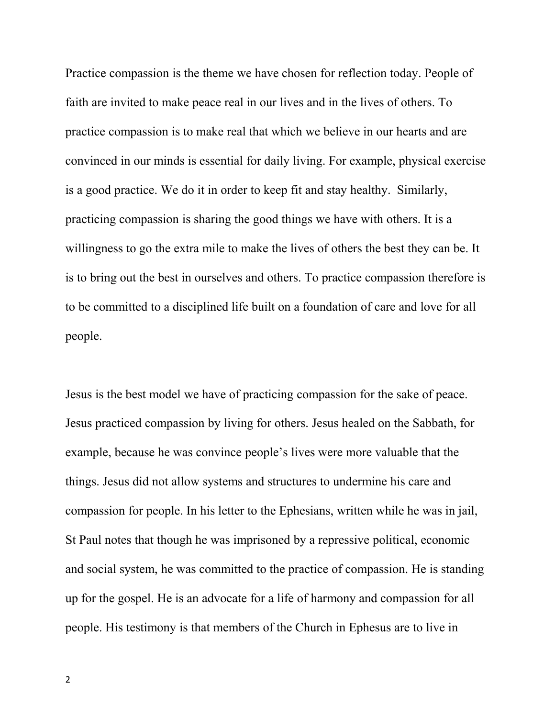Practice compassion is the theme we have chosen for reflection today. People of faith are invited to make peace real in our lives and in the lives of others. To practice compassion is to make real that which we believe in our hearts and are convinced in our minds is essential for daily living. For example, physical exercise is a good practice. We do it in order to keep fit and stay healthy. Similarly, practicing compassion is sharing the good things we have with others. It is a willingness to go the extra mile to make the lives of others the best they can be. It is to bring out the best in ourselves and others. To practice compassion therefore is to be committed to a disciplined life built on a foundation of care and love for all people.

Jesus is the best model we have of practicing compassion for the sake of peace. Jesus practiced compassion by living for others. Jesus healed on the Sabbath, for example, because he was convince people's lives were more valuable that the things. Jesus did not allow systems and structures to undermine his care and compassion for people. In his letter to the Ephesians, written while he was in jail, St Paul notes that though he was imprisoned by a repressive political, economic and social system, he was committed to the practice of compassion. He is standing up for the gospel. He is an advocate for a life of harmony and compassion for all people. His testimony is that members of the Church in Ephesus are to live in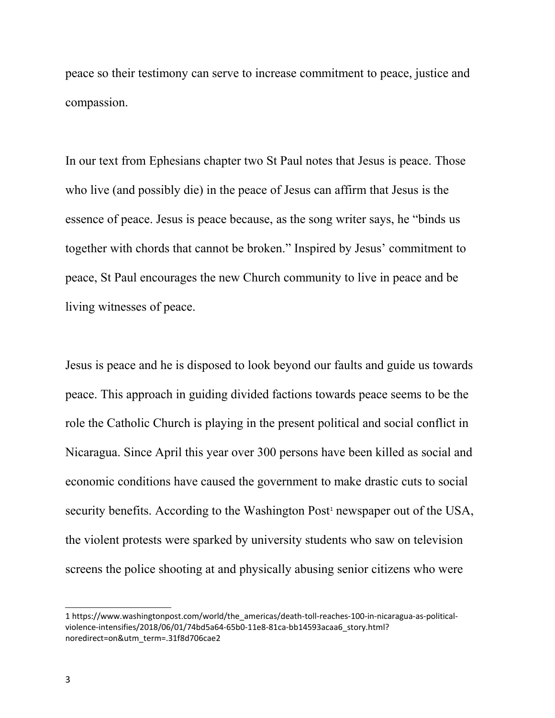peace so their testimony can serve to increase commitment to peace, justice and compassion.

In our text from Ephesians chapter two St Paul notes that Jesus is peace. Those who live (and possibly die) in the peace of Jesus can affirm that Jesus is the essence of peace. Jesus is peace because, as the song writer says, he "binds us together with chords that cannot be broken." Inspired by Jesus' commitment to peace, St Paul encourages the new Church community to live in peace and be living witnesses of peace.

Jesus is peace and he is disposed to look beyond our faults and guide us towards peace. This approach in guiding divided factions towards peace seems to be the role the Catholic Church is playing in the present political and social conflict in Nicaragua. Since April this year over 300 persons have been killed as social and economic conditions have caused the government to make drastic cuts to social security benefits. According to the Washington Post<sup>[1](#page-2-0)</sup> newspaper out of the USA, the violent protests were sparked by university students who saw on television screens the police shooting at and physically abusing senior citizens who were

<span id="page-2-0"></span><sup>1</sup> https://www.washingtonpost.com/world/the\_americas/death-toll-reaches-100-in-nicaragua-as-politicalviolence-intensifies/2018/06/01/74bd5a64-65b0-11e8-81ca-bb14593acaa6\_story.html? noredirect=on&utm\_term=.31f8d706cae2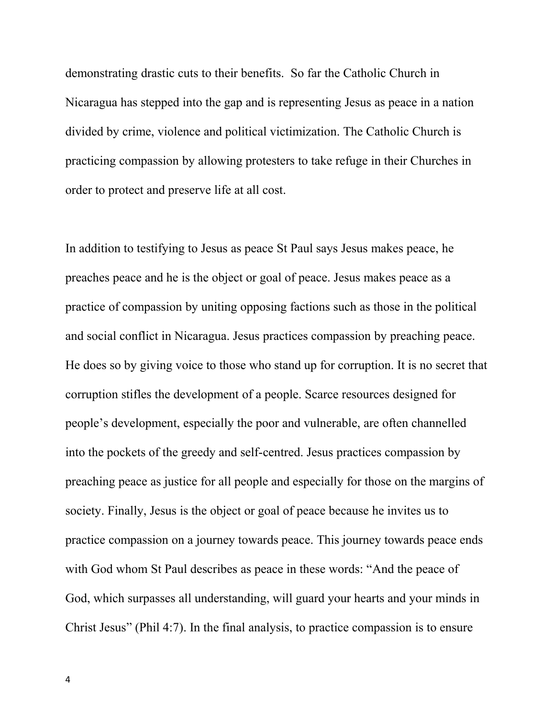demonstrating drastic cuts to their benefits. So far the Catholic Church in Nicaragua has stepped into the gap and is representing Jesus as peace in a nation divided by crime, violence and political victimization. The Catholic Church is practicing compassion by allowing protesters to take refuge in their Churches in order to protect and preserve life at all cost.

In addition to testifying to Jesus as peace St Paul says Jesus makes peace, he preaches peace and he is the object or goal of peace. Jesus makes peace as a practice of compassion by uniting opposing factions such as those in the political and social conflict in Nicaragua. Jesus practices compassion by preaching peace. He does so by giving voice to those who stand up for corruption. It is no secret that corruption stifles the development of a people. Scarce resources designed for people's development, especially the poor and vulnerable, are often channelled into the pockets of the greedy and self-centred. Jesus practices compassion by preaching peace as justice for all people and especially for those on the margins of society. Finally, Jesus is the object or goal of peace because he invites us to practice compassion on a journey towards peace. This journey towards peace ends with God whom St Paul describes as peace in these words: "And the peace of God, which surpasses all understanding, will guard your hearts and your minds in Christ Jesus" (Phil 4:7). In the final analysis, to practice compassion is to ensure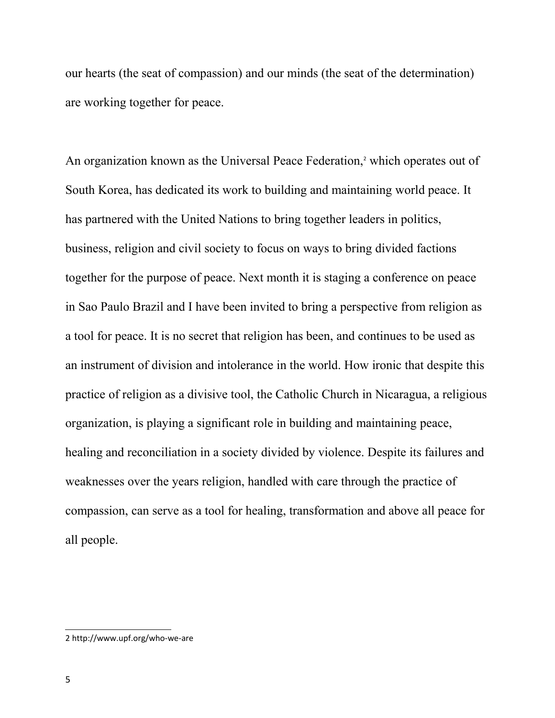our hearts (the seat of compassion) and our minds (the seat of the determination) are working together for peace.

An organization known as the Universal Peace Federation,<sup>[2](#page-4-0)</sup> which operates out of South Korea, has dedicated its work to building and maintaining world peace. It has partnered with the United Nations to bring together leaders in politics, business, religion and civil society to focus on ways to bring divided factions together for the purpose of peace. Next month it is staging a conference on peace in Sao Paulo Brazil and I have been invited to bring a perspective from religion as a tool for peace. It is no secret that religion has been, and continues to be used as an instrument of division and intolerance in the world. How ironic that despite this practice of religion as a divisive tool, the Catholic Church in Nicaragua, a religious organization, is playing a significant role in building and maintaining peace, healing and reconciliation in a society divided by violence. Despite its failures and weaknesses over the years religion, handled with care through the practice of compassion, can serve as a tool for healing, transformation and above all peace for all people.

<span id="page-4-0"></span><sup>2</sup> http://www.upf.org/who-we-are